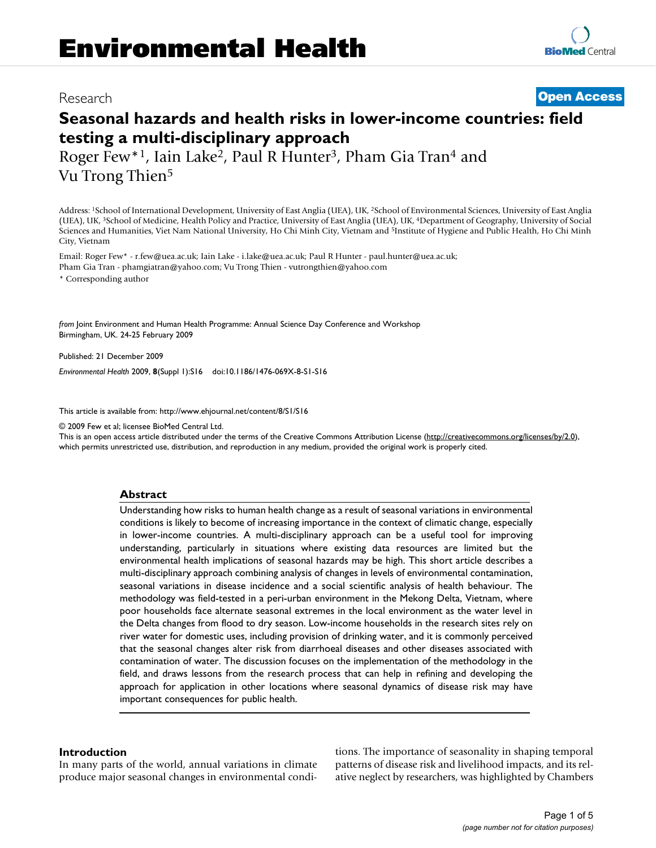## Research **[Open Access](http://www.biomedcentral.com/info/about/charter/)**

# **Seasonal hazards and health risks in lower-income countries: field testing a multi-disciplinary approach**

Roger Few\*1, Iain Lake2, Paul R Hunter3, Pham Gia Tran4 and Vu Trong Thien<sup>5</sup>

Address: 1School of International Development, University of East Anglia (UEA), UK, 2School of Environmental Sciences, University of East Anglia (UEA), UK, 3School of Medicine, Health Policy and Practice, University of East Anglia (UEA), UK, 4Department of Geography, University of Social Sciences and Humanities, Viet Nam National University, Ho Chi Minh City, Vietnam and 5Institute of Hygiene and Public Health, Ho Chi Minh City, Vietnam

Email: Roger Few\* - r.few@uea.ac.uk; Iain Lake - i.lake@uea.ac.uk; Paul R Hunter - paul.hunter@uea.ac.uk; Pham Gia Tran - phamgiatran@yahoo.com; Vu Trong Thien - vutrongthien@yahoo.com

\* Corresponding author

*from* Joint Environment and Human Health Programme: Annual Science Day Conference and Workshop Birmingham, UK. 24-25 February 2009

Published: 21 December 2009

*Environmental Health* 2009, **8**(Suppl 1):S16 doi:10.1186/1476-069X-8-S1-S16

[This article is available from: http://www.ehjournal.net/content/8/S1/S16](http://www.ehjournal.net/content/8/S1/S16)

© 2009 Few et al; licensee BioMed Central Ltd.

This is an open access article distributed under the terms of the Creative Commons Attribution License [\(http://creativecommons.org/licenses/by/2.0\)](http://creativecommons.org/licenses/by/2.0), which permits unrestricted use, distribution, and reproduction in any medium, provided the original work is properly cited.

#### **Abstract**

Understanding how risks to human health change as a result of seasonal variations in environmental conditions is likely to become of increasing importance in the context of climatic change, especially in lower-income countries. A multi-disciplinary approach can be a useful tool for improving understanding, particularly in situations where existing data resources are limited but the environmental health implications of seasonal hazards may be high. This short article describes a multi-disciplinary approach combining analysis of changes in levels of environmental contamination, seasonal variations in disease incidence and a social scientific analysis of health behaviour. The methodology was field-tested in a peri-urban environment in the Mekong Delta, Vietnam, where poor households face alternate seasonal extremes in the local environment as the water level in the Delta changes from flood to dry season. Low-income households in the research sites rely on river water for domestic uses, including provision of drinking water, and it is commonly perceived that the seasonal changes alter risk from diarrhoeal diseases and other diseases associated with contamination of water. The discussion focuses on the implementation of the methodology in the field, and draws lessons from the research process that can help in refining and developing the approach for application in other locations where seasonal dynamics of disease risk may have important consequences for public health.

#### **Introduction**

In many parts of the world, annual variations in climate produce major seasonal changes in environmental conditions. The importance of seasonality in shaping temporal patterns of disease risk and livelihood impacts, and its relative neglect by researchers, was highlighted by Chambers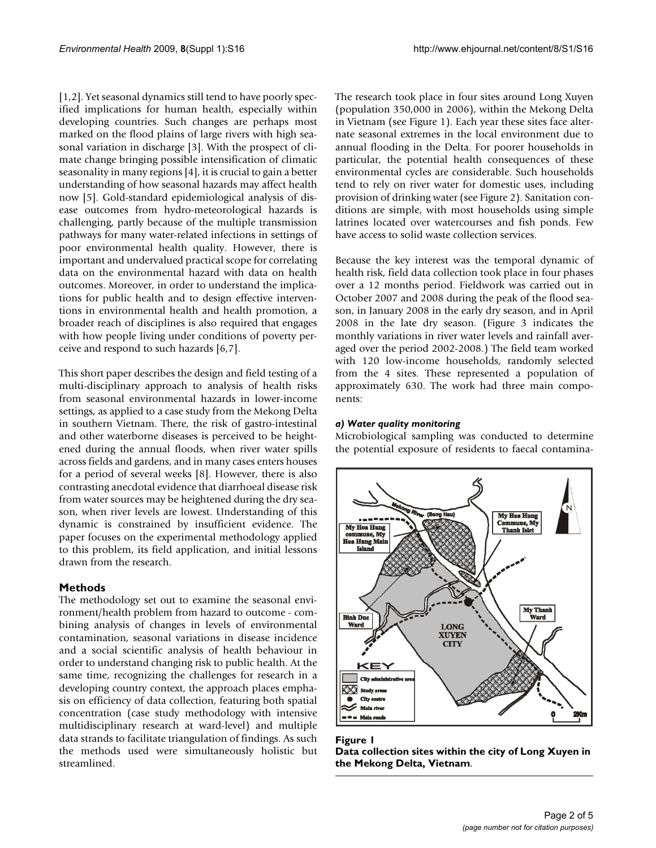[1,2]. Yet seasonal dynamics still tend to have poorly specified implications for human health, especially within developing countries. Such changes are perhaps most marked on the flood plains of large rivers with high seasonal variation in discharge [3]. With the prospect of climate change bringing possible intensification of climatic seasonality in many regions [4], it is crucial to gain a better understanding of how seasonal hazards may affect health now [5]. Gold-standard epidemiological analysis of disease outcomes from hydro-meteorological hazards is challenging, partly because of the multiple transmission pathways for many water-related infections in settings of poor environmental health quality. However, there is important and undervalued practical scope for correlating data on the environmental hazard with data on health outcomes. Moreover, in order to understand the implications for public health and to design effective interventions in environmental health and health promotion, a broader reach of disciplines is also required that engages with how people living under conditions of poverty perceive and respond to such hazards [6,7].

This short paper describes the design and field testing of a multi-disciplinary approach to analysis of health risks from seasonal environmental hazards in lower-income settings, as applied to a case study from the Mekong Delta in southern Vietnam. There, the risk of gastro-intestinal and other waterborne diseases is perceived to be heightened during the annual floods, when river water spills across fields and gardens, and in many cases enters houses for a period of several weeks [8]. However, there is also contrasting anecdotal evidence that diarrhoeal disease risk from water sources may be heightened during the dry season, when river levels are lowest. Understanding of this dynamic is constrained by insufficient evidence. The paper focuses on the experimental methodology applied to this problem, its field application, and initial lessons drawn from the research.

### **Methods**

The methodology set out to examine the seasonal environment/health problem from hazard to outcome - combining analysis of changes in levels of environmental contamination, seasonal variations in disease incidence and a social scientific analysis of health behaviour in order to understand changing risk to public health. At the same time, recognizing the challenges for research in a developing country context, the approach places emphasis on efficiency of data collection, featuring both spatial concentration (case study methodology with intensive multidisciplinary research at ward-level) and multiple data strands to facilitate triangulation of findings. As such the methods used were simultaneously holistic but streamlined.

The research took place in four sites around Long Xuyen (population 350,000 in 2006), within the Mekong Delta in Vietnam (see Figure 1). Each year these sites face alternate seasonal extremes in the local environment due to annual flooding in the Delta. For poorer households in particular, the potential health consequences of these environmental cycles are considerable. Such households tend to rely on river water for domestic uses, including provision of drinking water (see Figure 2). Sanitation conditions are simple, with most households using simple latrines located over watercourses and fish ponds. Few have access to solid waste collection services.

Because the key interest was the temporal dynamic of health risk, field data collection took place in four phases over a 12 months period. Fieldwork was carried out in October 2007 and 2008 during the peak of the flood season, in January 2008 in the early dry season, and in April 2008 in the late dry season. (Figure 3 indicates the monthly variations in river water levels and rainfall averaged over the period 2002-2008.) The field team worked with 120 low-income households, randomly selected from the 4 sites. These represented a population of approximately 630. The work had three main components:

### *a) Water quality monitoring*

Microbiological sampling was conducted to determine the potential exposure of residents to faecal contamina-



### Figure 1

**Data collection sites within the city of Long Xuyen in the Mekong Delta, Vietnam**.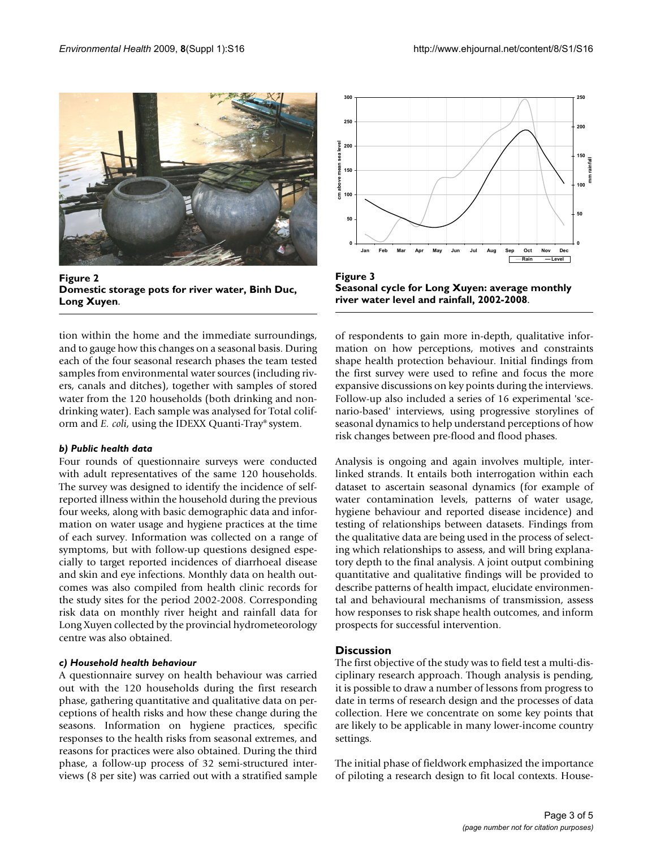

**Figure 2 Domestic storage pots for river water, Binh Duc, Long Xuyen**.

tion within the home and the immediate surroundings, and to gauge how this changes on a seasonal basis. During each of the four seasonal research phases the team tested samples from environmental water sources (including rivers, canals and ditches), together with samples of stored water from the 120 households (both drinking and nondrinking water). Each sample was analysed for Total coliform and *E. coli*, using the IDEXX Quanti-Tray® system.

#### *b) Public health data*

Four rounds of questionnaire surveys were conducted with adult representatives of the same 120 households. The survey was designed to identify the incidence of selfreported illness within the household during the previous four weeks, along with basic demographic data and information on water usage and hygiene practices at the time of each survey. Information was collected on a range of symptoms, but with follow-up questions designed especially to target reported incidences of diarrhoeal disease and skin and eye infections. Monthly data on health outcomes was also compiled from health clinic records for the study sites for the period 2002-2008. Corresponding risk data on monthly river height and rainfall data for Long Xuyen collected by the provincial hydrometeorology centre was also obtained.

#### *c) Household health behaviour*

A questionnaire survey on health behaviour was carried out with the 120 households during the first research phase, gathering quantitative and qualitative data on perceptions of health risks and how these change during the seasons. Information on hygiene practices, specific responses to the health risks from seasonal extremes, and reasons for practices were also obtained. During the third phase, a follow-up process of 32 semi-structured interviews (8 per site) was carried out with a stratified sample



**Seasonal cycle for Long Xuyen: average monthly river water level and rainfall, 2002-2008**.

of respondents to gain more in-depth, qualitative information on how perceptions, motives and constraints shape health protection behaviour. Initial findings from the first survey were used to refine and focus the more expansive discussions on key points during the interviews. Follow-up also included a series of 16 experimental 'scenario-based' interviews, using progressive storylines of seasonal dynamics to help understand perceptions of how risk changes between pre-flood and flood phases.

Analysis is ongoing and again involves multiple, interlinked strands. It entails both interrogation within each dataset to ascertain seasonal dynamics (for example of water contamination levels, patterns of water usage, hygiene behaviour and reported disease incidence) and testing of relationships between datasets. Findings from the qualitative data are being used in the process of selecting which relationships to assess, and will bring explanatory depth to the final analysis. A joint output combining quantitative and qualitative findings will be provided to describe patterns of health impact, elucidate environmental and behavioural mechanisms of transmission, assess how responses to risk shape health outcomes, and inform prospects for successful intervention.

#### **Discussion**

The first objective of the study was to field test a multi-disciplinary research approach. Though analysis is pending, it is possible to draw a number of lessons from progress to date in terms of research design and the processes of data collection. Here we concentrate on some key points that are likely to be applicable in many lower-income country settings.

The initial phase of fieldwork emphasized the importance of piloting a research design to fit local contexts. House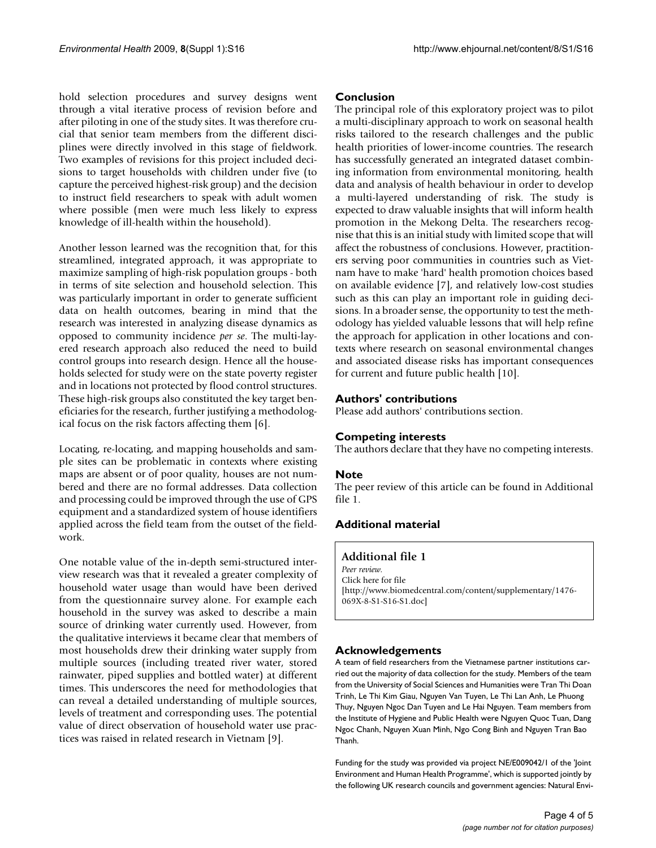hold selection procedures and survey designs went through a vital iterative process of revision before and after piloting in one of the study sites. It was therefore crucial that senior team members from the different disciplines were directly involved in this stage of fieldwork. Two examples of revisions for this project included decisions to target households with children under five (to capture the perceived highest-risk group) and the decision to instruct field researchers to speak with adult women where possible (men were much less likely to express knowledge of ill-health within the household).

Another lesson learned was the recognition that, for this streamlined, integrated approach, it was appropriate to maximize sampling of high-risk population groups - both in terms of site selection and household selection. This was particularly important in order to generate sufficient data on health outcomes, bearing in mind that the research was interested in analyzing disease dynamics as opposed to community incidence *per se*. The multi-layered research approach also reduced the need to build control groups into research design. Hence all the households selected for study were on the state poverty register and in locations not protected by flood control structures. These high-risk groups also constituted the key target beneficiaries for the research, further justifying a methodological focus on the risk factors affecting them [6].

Locating, re-locating, and mapping households and sample sites can be problematic in contexts where existing maps are absent or of poor quality, houses are not numbered and there are no formal addresses. Data collection and processing could be improved through the use of GPS equipment and a standardized system of house identifiers applied across the field team from the outset of the fieldwork.

One notable value of the in-depth semi-structured interview research was that it revealed a greater complexity of household water usage than would have been derived from the questionnaire survey alone. For example each household in the survey was asked to describe a main source of drinking water currently used. However, from the qualitative interviews it became clear that members of most households drew their drinking water supply from multiple sources (including treated river water, stored rainwater, piped supplies and bottled water) at different times. This underscores the need for methodologies that can reveal a detailed understanding of multiple sources, levels of treatment and corresponding uses. The potential value of direct observation of household water use practices was raised in related research in Vietnam [9].

#### **Conclusion**

The principal role of this exploratory project was to pilot a multi-disciplinary approach to work on seasonal health risks tailored to the research challenges and the public health priorities of lower-income countries. The research has successfully generated an integrated dataset combining information from environmental monitoring, health data and analysis of health behaviour in order to develop a multi-layered understanding of risk. The study is expected to draw valuable insights that will inform health promotion in the Mekong Delta. The researchers recognise that this is an initial study with limited scope that will affect the robustness of conclusions. However, practitioners serving poor communities in countries such as Vietnam have to make 'hard' health promotion choices based on available evidence [7], and relatively low-cost studies such as this can play an important role in guiding decisions. In a broader sense, the opportunity to test the methodology has yielded valuable lessons that will help refine the approach for application in other locations and contexts where research on seasonal environmental changes and associated disease risks has important consequences for current and future public health [10].

### **Authors' contributions**

Please add authors' contributions section.

#### **Competing interests**

The authors declare that they have no competing interests.

#### **Note**

The peer review of this article can be found in Additional file 1.

### **Additional material**

#### **Additional file 1**

*Peer review.* Click here for file [\[http://www.biomedcentral.com/content/supplementary/1476-](http://www.biomedcentral.com/content/supplementary/1476-069X-8-S1-S16-S1.doc) 069X-8-S1-S16-S1.doc]

#### **Acknowledgements**

A team of field researchers from the Vietnamese partner institutions carried out the majority of data collection for the study. Members of the team from the University of Social Sciences and Humanities were Tran Thi Doan Trinh, Le Thi Kim Giau, Nguyen Van Tuyen, Le Thi Lan Anh, Le Phuong Thuy, Nguyen Ngoc Dan Tuyen and Le Hai Nguyen. Team members from the Institute of Hygiene and Public Health were Nguyen Quoc Tuan, Dang Ngoc Chanh, Nguyen Xuan Minh, Ngo Cong Binh and Nguyen Tran Bao Thanh.

Funding for the study was provided via project NE/E009042/1 of the 'Joint Environment and Human Health Programme', which is supported jointly by the following UK research councils and government agencies: Natural Envi